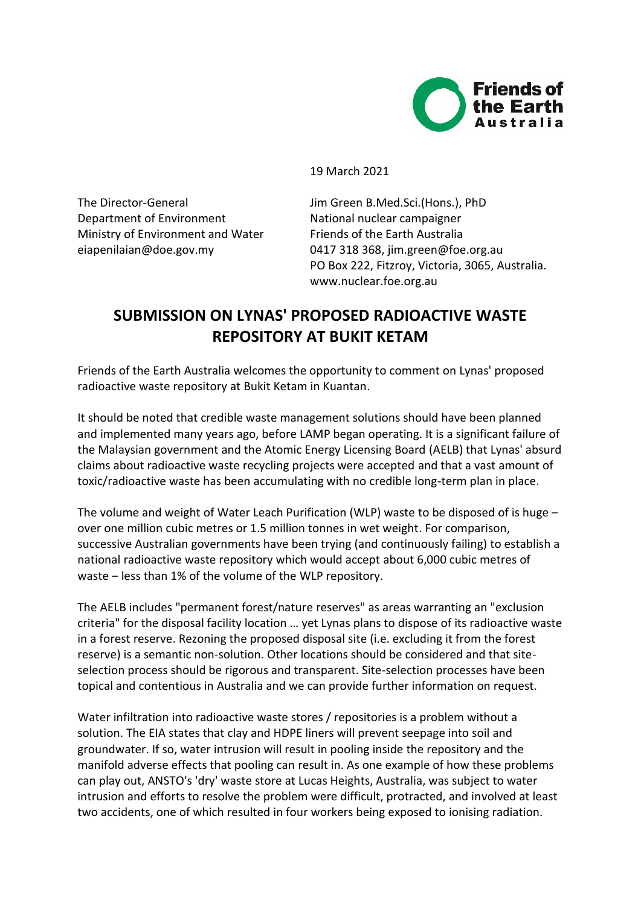

19 March 2021

The Director-General Jim Green B.Med.Sci.(Hons.), PhD Department of Environment National nuclear campaigner Ministry of Environment and Water Friends of the Earth Australia

eiapenilaian@doe.gov.my 0417 318 368, jim.green@foe.org.au PO Box 222, Fitzroy, Victoria, 3065, Australia. www.nuclear.foe.org.au

## **SUBMISSION ON LYNAS' PROPOSED RADIOACTIVE WASTE REPOSITORY AT BUKIT KETAM**

Friends of the Earth Australia welcomes the opportunity to comment on Lynas' proposed radioactive waste repository at Bukit Ketam in Kuantan.

It should be noted that credible waste management solutions should have been planned and implemented many years ago, before LAMP began operating. It is a significant failure of the Malaysian government and the Atomic Energy Licensing Board (AELB) that Lynas' absurd claims about radioactive waste recycling projects were accepted and that a vast amount of toxic/radioactive waste has been accumulating with no credible long-term plan in place.

The volume and weight of Water Leach Purification (WLP) waste to be disposed of is huge  $$ over one million cubic metres or 1.5 million tonnes in wet weight. For comparison, successive Australian governments have been trying (and continuously failing) to establish a national radioactive waste repository which would accept about 6,000 cubic metres of waste - less than 1% of the volume of the WLP repository.

The AELB includes "permanent forest/nature reserves" as areas warranting an "exclusion criteria" for the disposal facility location … yet Lynas plans to dispose of its radioactive waste in a forest reserve. Rezoning the proposed disposal site (i.e. excluding it from the forest reserve) is a semantic non-solution. Other locations should be considered and that siteselection process should be rigorous and transparent. Site-selection processes have been topical and contentious in Australia and we can provide further information on request.

Water infiltration into radioactive waste stores / repositories is a problem without a solution. The EIA states that clay and HDPE liners will prevent seepage into soil and groundwater. If so, water intrusion will result in pooling inside the repository and the manifold adverse effects that pooling can result in. As one example of how these problems can play out, ANSTO's 'dry' waste store at Lucas Heights, Australia, was subject to water intrusion and efforts to resolve the problem were difficult, protracted, and involved at least two accidents, one of which resulted in four workers being exposed to ionising radiation.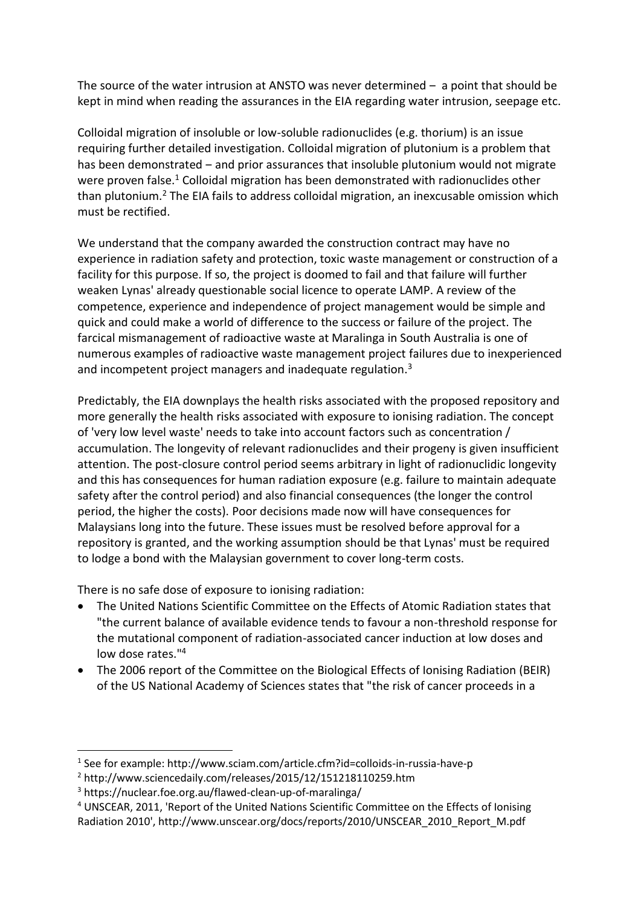The source of the water intrusion at ANSTO was never determined  $-$  a point that should be kept in mind when reading the assurances in the EIA regarding water intrusion, seepage etc.

Colloidal migration of insoluble or low-soluble radionuclides (e.g. thorium) is an issue requiring further detailed investigation. Colloidal migration of plutonium is a problem that has been demonstrated – and prior assurances that insoluble plutonium would not migrate were proven false.<sup>1</sup> Colloidal migration has been demonstrated with radionuclides other than plutonium.<sup>2</sup> The EIA fails to address colloidal migration, an inexcusable omission which must be rectified.

We understand that the company awarded the construction contract may have no experience in radiation safety and protection, toxic waste management or construction of a facility for this purpose. If so, the project is doomed to fail and that failure will further weaken Lynas' already questionable social licence to operate LAMP. A review of the competence, experience and independence of project management would be simple and quick and could make a world of difference to the success or failure of the project. The farcical mismanagement of radioactive waste at Maralinga in South Australia is one of numerous examples of radioactive waste management project failures due to inexperienced and incompetent project managers and inadequate regulation.<sup>3</sup>

Predictably, the EIA downplays the health risks associated with the proposed repository and more generally the health risks associated with exposure to ionising radiation. The concept of 'very low level waste' needs to take into account factors such as concentration / accumulation. The longevity of relevant radionuclides and their progeny is given insufficient attention. The post-closure control period seems arbitrary in light of radionuclidic longevity and this has consequences for human radiation exposure (e.g. failure to maintain adequate safety after the control period) and also financial consequences (the longer the control period, the higher the costs). Poor decisions made now will have consequences for Malaysians long into the future. These issues must be resolved before approval for a repository is granted, and the working assumption should be that Lynas' must be required to lodge a bond with the Malaysian government to cover long-term costs.

There is no safe dose of exposure to ionising radiation:

- The United Nations Scientific Committee on the Effects of Atomic Radiation states that "the current balance of available evidence tends to favour a non-threshold response for the mutational component of radiation-associated cancer induction at low doses and low dose rates."<sup>4</sup>
- The 2006 report of the Committee on the Biological Effects of Ionising Radiation (BEIR) of the US National Academy of Sciences states that "the risk of cancer proceeds in a

<sup>&</sup>lt;sup>1</sup> See for example: http://www.sciam.com/article.cfm?id=colloids-in-russia-have-p

<sup>2</sup> http://www.sciencedaily.com/releases/2015/12/151218110259.htm

<sup>3</sup> https://nuclear.foe.org.au/flawed-clean-up-of-maralinga/

<sup>4</sup> UNSCEAR, 2011, 'Report of the United Nations Scientific Committee on the Effects of Ionising Radiation 2010', http://www.unscear.org/docs/reports/2010/UNSCEAR\_2010\_Report\_M.pdf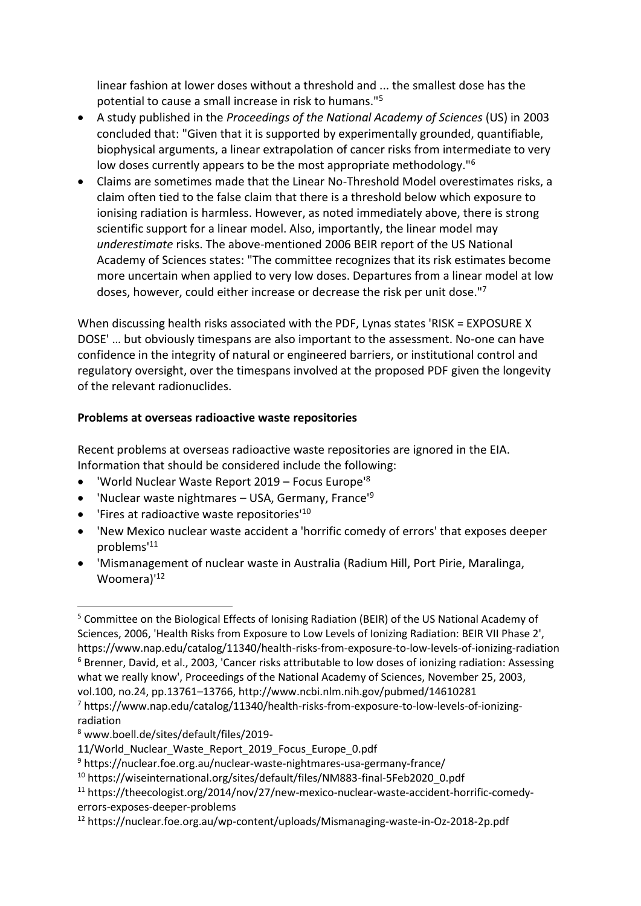linear fashion at lower doses without a threshold and ... the smallest dose has the potential to cause a small increase in risk to humans."<sup>5</sup>

- A study published in the *Proceedings of the National Academy of Sciences* (US) in 2003 concluded that: "Given that it is supported by experimentally grounded, quantifiable, biophysical arguments, a linear extrapolation of cancer risks from intermediate to very low doses currently appears to be the most appropriate methodology."<sup>6</sup>
- Claims are sometimes made that the Linear No-Threshold Model overestimates risks, a claim often tied to the false claim that there is a threshold below which exposure to ionising radiation is harmless. However, as noted immediately above, there is strong scientific support for a linear model. Also, importantly, the linear model may *underestimate* risks. The above-mentioned 2006 BEIR report of the US National Academy of Sciences states: "The committee recognizes that its risk estimates become more uncertain when applied to very low doses. Departures from a linear model at low doses, however, could either increase or decrease the risk per unit dose."<sup>7</sup>

When discussing health risks associated with the PDF, Lynas states 'RISK = EXPOSURE X DOSE' … but obviously timespans are also important to the assessment. No-one can have confidence in the integrity of natural or engineered barriers, or institutional control and regulatory oversight, over the timespans involved at the proposed PDF given the longevity of the relevant radionuclides.

## **Problems at overseas radioactive waste repositories**

Recent problems at overseas radioactive waste repositories are ignored in the EIA. Information that should be considered include the following:

- 'World Nuclear Waste Report 2019 Focus Europe'<sup>8</sup>
- 'Nuclear waste nightmares USA, Germany, France<sup>'9</sup>
- 'Fires at radioactive waste repositories'<sup>10</sup>
- 'New Mexico nuclear waste accident a 'horrific comedy of errors' that exposes deeper problems'<sup>11</sup>
- 'Mismanagement of nuclear waste in Australia (Radium Hill, Port Pirie, Maralinga, Woomera)<sup>'12</sup>

<sup>5</sup> Committee on the Biological Effects of Ionising Radiation (BEIR) of the US National Academy of Sciences, 2006, 'Health Risks from Exposure to Low Levels of Ionizing Radiation: BEIR VII Phase 2', https://www.nap.edu/catalog/11340/health-risks-from-exposure-to-low-levels-of-ionizing-radiation <sup>6</sup> Brenner, David, et al., 2003, 'Cancer risks attributable to low doses of ionizing radiation: Assessing what we really know', Proceedings of the National Academy of Sciences, November 25, 2003, vol.100, no.24, pp.13761–13766, http://www.ncbi.nlm.nih.gov/pubmed/14610281

<sup>7</sup> https://www.nap.edu/catalog/11340/health-risks-from-exposure-to-low-levels-of-ionizingradiation

<sup>8</sup> www.boell.de/sites/default/files/2019-

<sup>11/</sup>World\_Nuclear\_Waste\_Report\_2019\_Focus\_Europe\_0.pdf

<sup>9</sup> https://nuclear.foe.org.au/nuclear-waste-nightmares-usa-germany-france/

<sup>10</sup> https://wiseinternational.org/sites/default/files/NM883-final-5Feb2020\_0.pdf

<sup>&</sup>lt;sup>11</sup> https://theecologist.org/2014/nov/27/new-mexico-nuclear-waste-accident-horrific-comedyerrors-exposes-deeper-problems

<sup>12</sup> https://nuclear.foe.org.au/wp-content/uploads/Mismanaging-waste-in-Oz-2018-2p.pdf